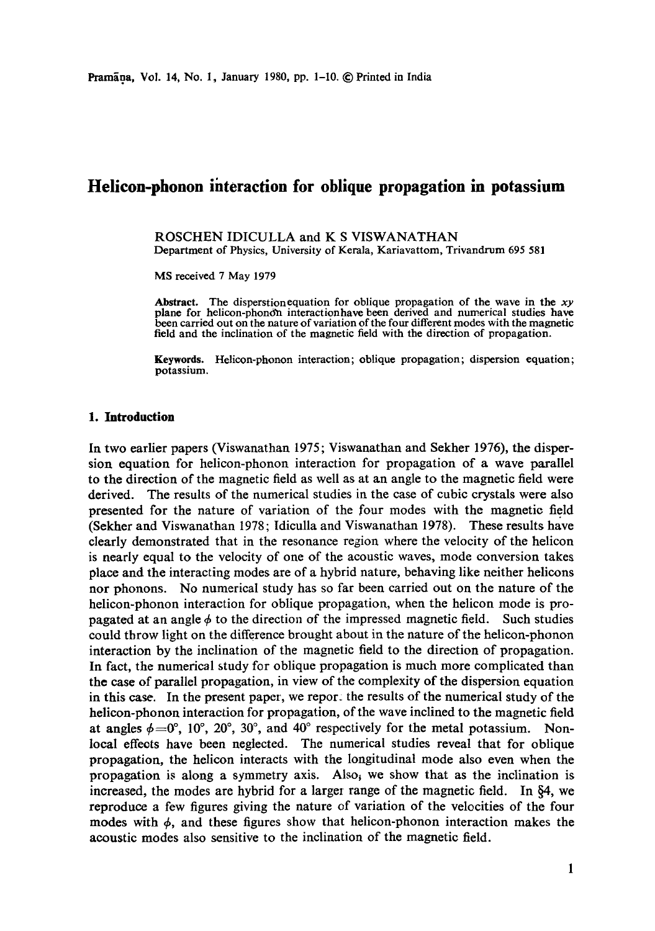# **Helicon-phonon interaction for oblique propagation in potassium**

ROSCHEN IDICULLA and K S VISWANATHAN Department of Physics, University of Kerala, Kariavattom, Trivandrum 695 581

MS received 7 May 1979

Abstract. The disperstionequation for oblique propagation of the wave in the *xy*  plane for helicon-phonon interaction have been derived and numerical studies have been carried out on the nature of variation of the four different modes with the magnetic field and the inclination of the magnetic field with the direction of propagation.

**Keywords.** Helicon-phonon interaction; oblique propagation; dispersion equation; potassium.

#### **1. Introduction**

In two earlier papers (Viswanathan 1975; Viswanathan and Sekher 1976), the dispersion equation for helicon-phonon interaction for propagation of a wave parallel to the direction of the magnetic field as well as at an angle to the magnetic field were derived. The results of the numerical studies in the case of cubic crystals were also **presented** for the nature of variation of the four modes with the magnetic field (Sekher and Viswanathan 1978; ldiculla and Viswanathan 1978). These results have clearly demonstrated that in the resonance region where the velocity of the helicon is nearly equal to the velocity of one of the acoustic waves, mode conversion takes place and the interacting modes are of a hybrid nature, behaving like neither helicons nor phonons. No numerical study has so far been carried out on the nature of the helicon-phonon interaction for oblique propagation, when the helicon mode is propagated at an angle  $\phi$  to the direction of the impressed magnetic field. Such studies could throw light on the difference brought about in the nature of the helicon-phonon interaction by the inclination of the magnetic field to the direction of propagation. In fact, the numerical study for oblique propagation is much more complicated than **the** case of parallel propagation, in view of the complexity of the dispersion equation **in** this case. In the present paper, we repor: the results of the numerical study of the helieon-phonon interaction for propagation, of the wave inclined to the magnetic field at angles  $\phi=0^{\circ}$ , 10°, 20°, 30°, and 40° respectively for the metal potassium. Nonlocal effects have been neglected. The numerical studies reveal that for oblique propagation, the helicon interacts with the longitudinal mode also even when the propagation is along a symmetry axis. Also, we show that as the inclination is increased, the modes are hybrid for a larger range of the magnetic field. In  $\&4$ , we reproduce a few figures giving the nature of variation of the velocities of the four modes with  $\phi$ , and these figures show that helicon-phonon interaction makes the acoustic modes also sensitive to the inclination of the magnetic field.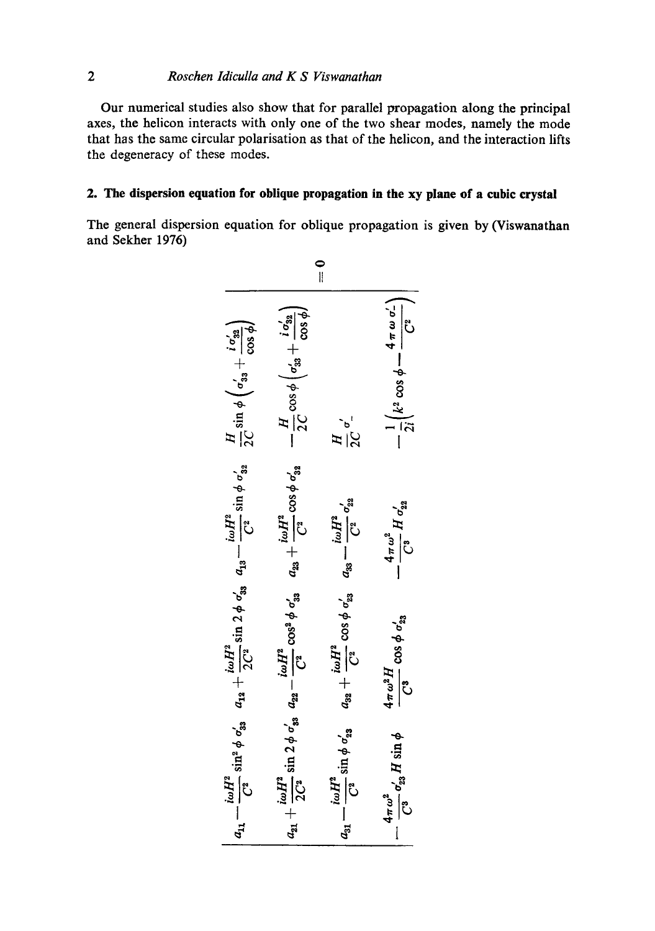# *2 Roschen ldiculla and K S Viswanathan*

Our numerical studies also show that for parallel propagation along the principal axes, the helicon interacts with only one of the two shear modes, namely the mode that has the same circular polarisation as that of the helicon, and the interaction lifts the degeneracy of these modes.

## **2. The dispersion equation for oblique propagation in the xy plane of a cubic crystal**

The general dispersion equation for oblique propagation is given by (Viswanathan and Sekher 1976)

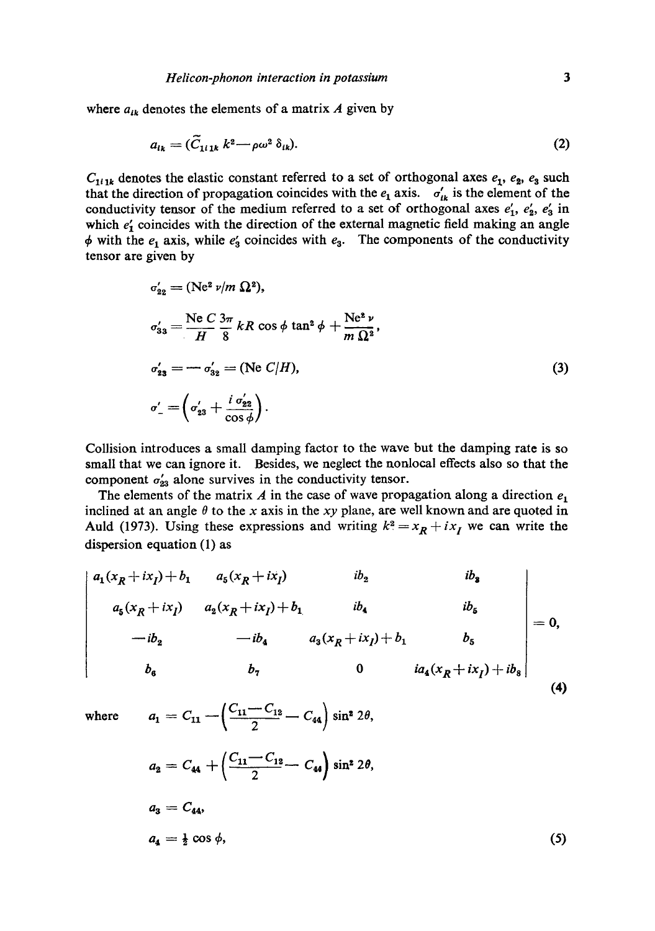where  $a_{ik}$  denotes the elements of a matrix A given by

$$
a_{ik} = (\tilde{C}_{1i1k} k^2 - \rho \omega^2 \delta_{ik}).
$$
\n(2)

 $C_{111k}$  denotes the elastic constant referred to a set of orthogonal axes  $e_1$ ,  $e_2$ ,  $e_3$  such that the direction of propagation coincides with the  $e_1$  axis.  $\sigma'_{lk}$  is the element of the conductivity tensor of the medium referred to a set of orthogonal axes  $e'_1$ ,  $e'_2$ ,  $e'_3$  in which  $e'_{1}$  coincides with the direction of the external magnetic field making an angle  $\phi$  with the  $e_1$  axis, while  $e'_3$  coincides with  $e_3$ . The components of the conductivity tensor are given by

$$
\sigma'_{22} = (\text{Ne}^2 \nu/m \ \Omega^2), \n\sigma'_{33} = \frac{\text{Ne } C}{H} \frac{3\pi}{8} kR \cos \phi \tan^2 \phi + \frac{\text{Ne}^2 \nu}{m \ \Omega^2}, \n\sigma'_{23} = -\sigma'_{32} = (\text{Ne } C/H), \n\sigma'_{-} = \left(\sigma'_{23} + \frac{i \ \sigma'_{22}}{\cos \phi}\right).
$$
\n(3)

Collision introduces a small damping factor to the wave but the damping rate is so small that we can ignore it. Besides, we neglect the nonlocal effects also so that the component  $\sigma'_{23}$  alone survives in the conductivity tensor.

The elements of the matrix A in the case of wave propagation along a direction  $e_1$ inclined at an angle  $\theta$  to the x axis in the xy plane, are well known and are quoted in Auld (1973). Using these expressions and writing  $k^2 = x_R + ix_I$  we can write the dispersion equation (1) as

$$
\begin{vmatrix}\na_1(x_R+ix_I)+b_1 & a_5(x_R+ix_I) & ib_2 & ib_3 \\
a_5(x_R+ix_I) & a_2(x_R+ix_I)+b_1 & ib_4 & ib_5 \\
-ib_2 & -ib_4 & a_3(x_R+ix_I)+b_1 & b_5 \\
b_6 & b_7 & 0 & ia_4(x_R+ix_I)+ib_8\n\end{vmatrix} = 0,
$$
\n(4)

where  $a_1 = C_{11} - \left(\frac{C_{11} - C_{12}}{2} - C_{44}\right) \sin^2 2\theta$ ,

$$
a_2 = C_{44} + \left(\frac{C_{11} - C_{12}}{2} - C_{44}\right) \sin^2 2\theta,
$$
  
\n
$$
a_3 = C_{44},
$$
  
\n
$$
a_4 = \frac{1}{2} \cos \phi,
$$
\n(5)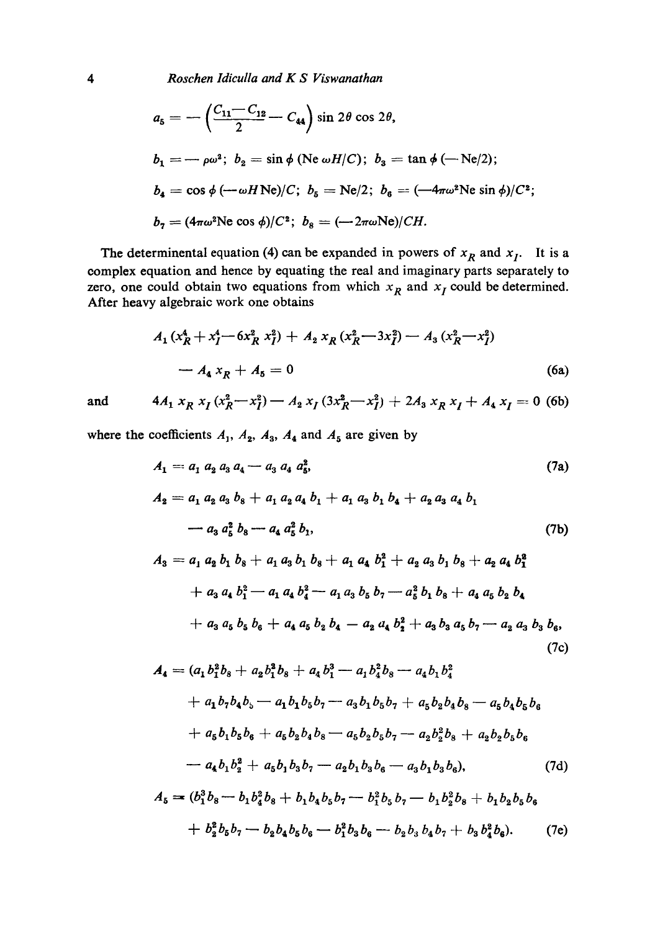*4 Roschen Idiculla and K S Viswanathan* 

$$
a_5 = -\left(\frac{C_{11} - C_{12}}{2} - C_{44}\right) \sin 2\theta \cos 2\theta,
$$
  
\n
$$
b_1 = -\rho \omega^2; \ b_2 = \sin \phi \text{ (Ne } \omega H/C); \ b_3 = \tan \phi \text{ (-Ne/2)};
$$
  
\n
$$
b_4 = \cos \phi \text{ (--}\omega H \text{ Ne})/C; \ b_5 = \text{Ne/2}; \ b_6 = (-4\pi \omega^2 \text{Ne } \sin \phi)/C^2;
$$
  
\n
$$
b_7 = (4\pi \omega^2 \text{Ne } \cos \phi)/C^2; \ b_8 = (-2\pi \omega \text{Ne})/CH.
$$

The determinental equation (4) can be expanded in powers of  $x_R$  and  $x_I$ . It is a complex equation and hence by equating the real and imaginary parts separately to zero, one could obtain two equations from which  $x_R$  and  $x_I$  could be determined. After heavy algebraic work one obtains

$$
A_1(x_R^4 + x_I^4 - 6x_R^2 x_I^2) + A_2 x_R (x_R^2 - 3x_I^2) - A_3 (x_R^2 - x_I^2)
$$
  
- 
$$
A_4 x_R + A_5 = 0
$$
 (6a)

and 
$$
4A_1 x_R x_I (x_R^2-x_I^2) - A_2 x_I (3x_R^2-x_I^2) + 2A_3 x_R x_I + A_4 x_I = 0
$$
 (6b)

where the coefficients  $A_1$ ,  $A_2$ ,  $A_3$ ,  $A_4$  and  $A_5$  are given by

$$
A_1 = a_1 a_2 a_3 a_4 - a_3 a_4 a_5^2,
$$
  
\n
$$
A_2 = a_1 a_2 a_3 b_8 + a_1 a_2 a_4 b_1 + a_1 a_3 b_1 b_4 + a_2 a_3 a_4 b_1
$$
  
\n
$$
- a_3 a_5^2 b_8 - a_4 a_5^2 b_1,
$$
  
\n
$$
A_3 = a_1 a_2 b_1 b_2 + a_2 a_2 b_1 b_2 + a_3 a_1 b_2 + a_2 a_3 b_1 b_2 + a_3 a_1 b_2^2
$$
  
\n(7b)

$$
A_3 = a_1 a_2 b_1 b_8 + a_1 a_3 b_1 b_8 + a_1 a_4 b_1^2 + a_2 a_3 b_1 b_8 + a_2 a_4 b_1^2
$$
  
+  $a_3 a_4 b_1^2 - a_1 a_4 b_4^2 - a_1 a_3 b_5 b_7 - a_5^2 b_1 b_8 + a_4 a_5 b_2 b_4$   
+  $a_3 a_5 b_5 b_6 + a_4 a_5 b_2 b_4 - a_2 a_4 b_2^2 + a_3 b_3 a_5 b_7 - a_2 a_3 b_3 b_6,$  (7c)

$$
A_4 = (a_1b_1^2b_8 + a_2b_1^2b_8 + a_4b_1^3 - a_1b_4^2b_8 - a_4b_1b_4^2
$$
  
+  $a_1b_7b_4b_5 - a_1b_1b_5b_7 - a_3b_1b_5b_7 + a_5b_2b_4b_8 - a_5b_4b_5b_6$   
+  $a_5b_1b_5b_6 + a_5b_2b_4b_8 - a_5b_2b_5b_7 - a_2b_2^2b_8 + a_2b_2b_5b_6$   
-  $a_4b_1b_2^2 + a_5b_1b_3b_7 - a_2b_1b_3b_6 - a_3b_1b_3b_6$ , (7d)

$$
A_5 = (b_1^3 b_8 - b_1 b_4^2 b_8 + b_1 b_4 b_5 b_7 - b_1^2 b_5 b_7 - b_1 b_2^2 b_8 + b_1 b_2 b_5 b_6
$$
  
+ 
$$
b_2^2 b_5 b_7 - b_2 b_4 b_5 b_6 - b_1^2 b_3 b_6 - b_2 b_3 b_4 b_7 + b_3 b_4^2 b_6.
$$
 (7e)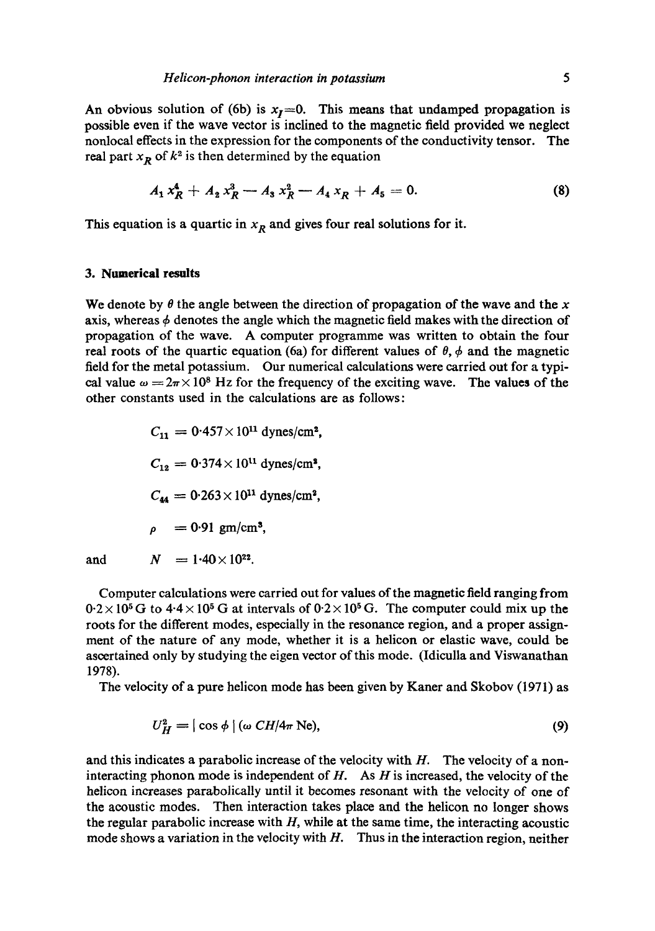An obvious solution of (6b) is  $x_1=0$ . This means that undamped propagation is possible even if the wave vector is inclined to the magnetic field provided we neglect nonlocal effects in the expression for the components of the conductivity tensor. The real part  $x_R$  of  $k^2$  is then determined by the equation

$$
A_1 x_R^4 + A_2 x_R^3 - A_3 x_R^2 - A_4 x_R + A_5 = 0. \tag{8}
$$

This equation is a quartic in  $x_R$  and gives four real solutions for it.

#### **3. Numerical results**

We denote by  $\theta$  the angle between the direction of propagation of the wave and the x axis, whereas  $\phi$  denotes the angle which the magnetic field makes with the direction of propagation of the wave. A computer programme was written to obtain the four real roots of the quartic equation (6a) for different values of  $\theta$ ,  $\phi$  and the magnetic field for the metal potassium. Our numerical calculations were carried out for a typical value  $\omega = 2\pi \times 10^8$  Hz for the frequency of the exciting wave. The values of the other constants used in the calculations are as follows:

 $C_{11} = 0.457 \times 10^{11}$  dynes/cm<sup>2</sup>,  $C_{12} = 0.374 \times 10^{11}$  dynes/cm<sup>2</sup>,  $C_{44} = 0.263 \times 10^{11}$  dynes/cm<sup>2</sup>,  $\rho = 0.91 \text{ gm/cm}^3$ , and  $N = 1.40 \times 10^{22}$ .

Computer calculations were carried out for values of the magnetic field ranging from  $0.2 \times 10^5$  G to  $4.4 \times 10^5$  G at intervals of  $0.2 \times 10^5$  G. The computer could mix up the roots for the different modes, especially in the resonance region, and a proper assignment of the nature of any mode, whether it is a helicon or elastic wave, could be ascertained only by studying the eigen vector of this mode. (Idiculla and Viswanathan 1978).

The velocity of a pure helicon mode has been given by Kaner and Skobov (1971) as

$$
U_H^2 = |\cos \phi| \left( \omega \, CH/4\pi \, \text{Ne} \right),\tag{9}
$$

and this indicates a parabolic increase of the velocity with  $H$ . The velocity of a noninteracting phonon mode is independent of  $H$ . As  $H$  is increased, the velocity of the helicon increases parabolically until it becomes resonant with the velocity of one of the acoustic modes. Then interaction takes place and the helicon no longer shows the regular parabolic increase with  $H$ , while at the same time, the interacting acoustic mode shows a variation in the velocity with  $H$ . Thus in the interaction region, neither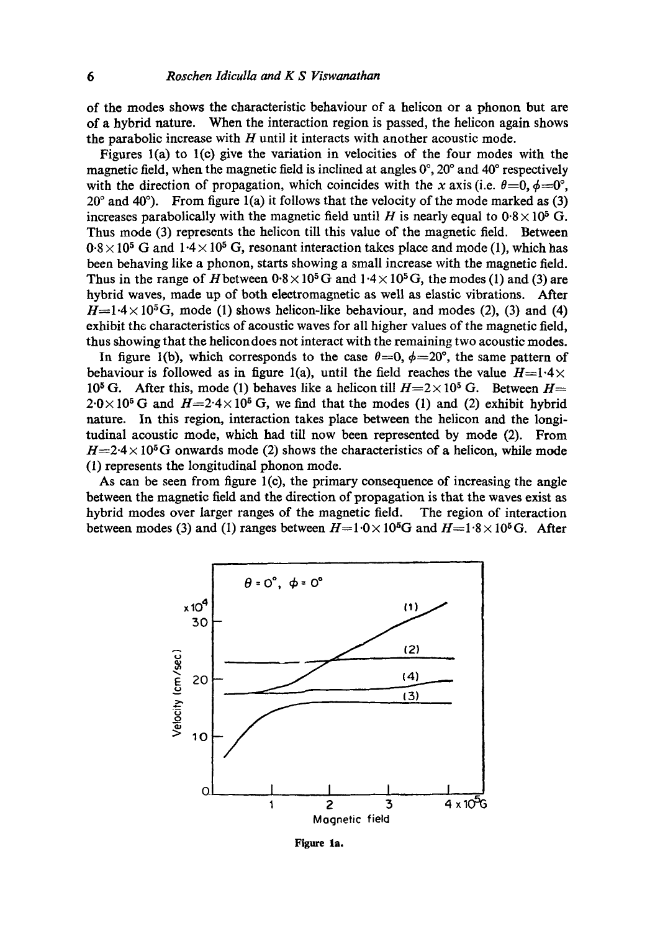of the modes shows the characteristic behaviour of a helicon or a phonon but are of a hybrid nature. When the interaction region is passed, the helicon again shows the parabolic increase with  $H$  until it interacts with another acoustic mode.

Figures l(a) to l(c) give the variation in velocities of the four modes with the magnetic field, when the magnetic field is inclined at angles  $0^{\circ}$ ,  $20^{\circ}$  and  $40^{\circ}$  respectively with the direction of propagation, which coincides with the x axis (i.e.  $\theta=0, \phi=0^{\circ}$ ,  $20^{\circ}$  and  $40^{\circ}$ ). From figure 1(a) it follows that the velocity of the mode marked as (3) increases parabolically with the magnetic field until H is nearly equal to  $0.8 \times 10^5$  G. Thus mode (3) represents the helicon till this value of the magnetic field. Between  $0.8 \times 10^5$  G and  $1.4 \times 10^5$  G, resonant interaction takes place and mode (1), which has been behaving like a phonon, starts showing a small increase with the magnetic field. Thus in the range of H between  $0.8 \times 10^5$  G and  $1.4 \times 10^5$  G, the modes (1) and (3) are hybrid waves, made up of both electromagnetic as well as elastic vibrations. After  $H=1.4\times 10^5$  G, mode (1) shows helicon-like behaviour, and modes (2), (3) and (4) exhibit the characteristics of acoustic waves for all higher values of the magnetic field, thus showing that the helicon does not interact with the remaining two acoustic modes.

In figure 1(b), which corresponds to the case  $\theta = 0$ ,  $\phi = 20^{\circ}$ , the same pattern of behaviour is followed as in figure 1(a), until the field reaches the value  $H=1.4\times$ 10<sup>5</sup> G. After this, mode (1) behaves like a helicon till  $H=2\times 10^5$  G. Between  $H=$  $2.0 \times 10^5$  G and  $H=2.4 \times 10^5$  G, we find that the modes (1) and (2) exhibit hybrid nature. In this region, interaction takes place between the helicon and the longitudinal acoustic mode, which had till now been represented by mode (2). From  $H=2.4 \times 10^5$ G onwards mode (2) shows the characteristics of a helicon, while mode (1) represents the longitudinal phonon mode.

As can be seen from figure  $l(c)$ , the primary consequence of increasing the angle between the magnetic field and the direction of propagation is that the waves exist as hybrid modes over larger ranges of the magnetic field. The region of interaction between modes (3) and (1) ranges between  $H=1.0\times10^5$ G and  $H=1.8\times10^5$  G. After



Figure la.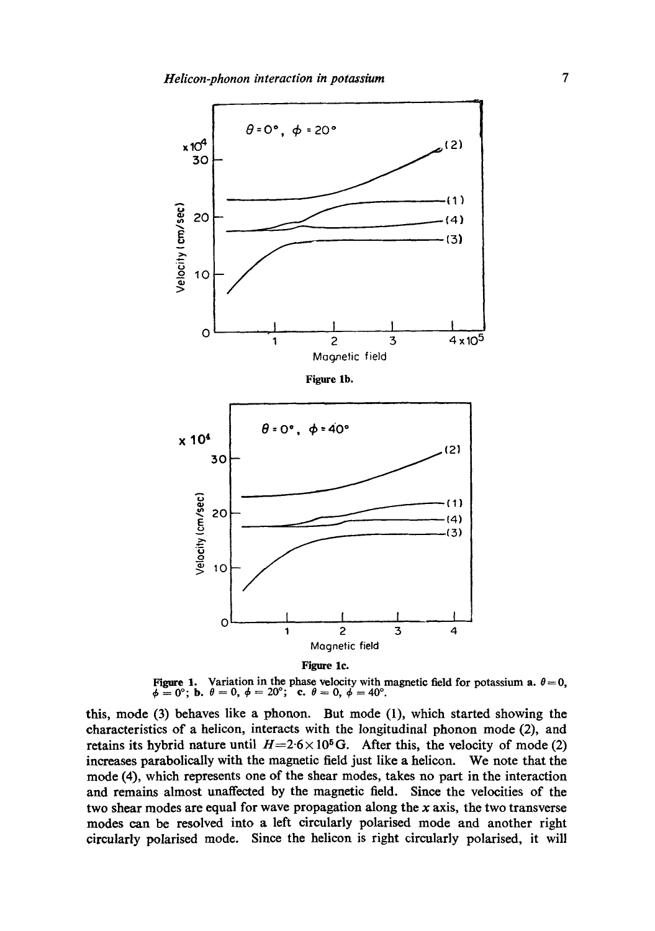

Figure 1. Variation in the phase velocity with magnetic field for potassium a.  $\theta = 0$ ,  $\phi=0^{\circ}$ ; **b.**  $\theta=0,~\phi=20^{\circ}$ ; **c.**  $\theta=0,~\dot{\phi}=40^{\circ}$ .

this, mode (3) behaves like a phonon. But mode (1), which started showing the characteristics of a helicon, interacts with the longitudinal phonon mode (2), and retains its hybrid nature until  $H=2.6\times10^5$  G. After this, the velocity of mode (2) increases parabolicaIly with the magnetic field just like a helicon. We note that the mode (4), which represents one of the shear modes, takes no part in the interaction and remains almost unaffected by the magnetic field. Since the velocities of the two shear modes are equal for wave propagation along the x axis, the two transverse modes can be resolved into a left circularly polarised mode and another right circularly polarised mode. Since the helicon is right circularly polarised, it will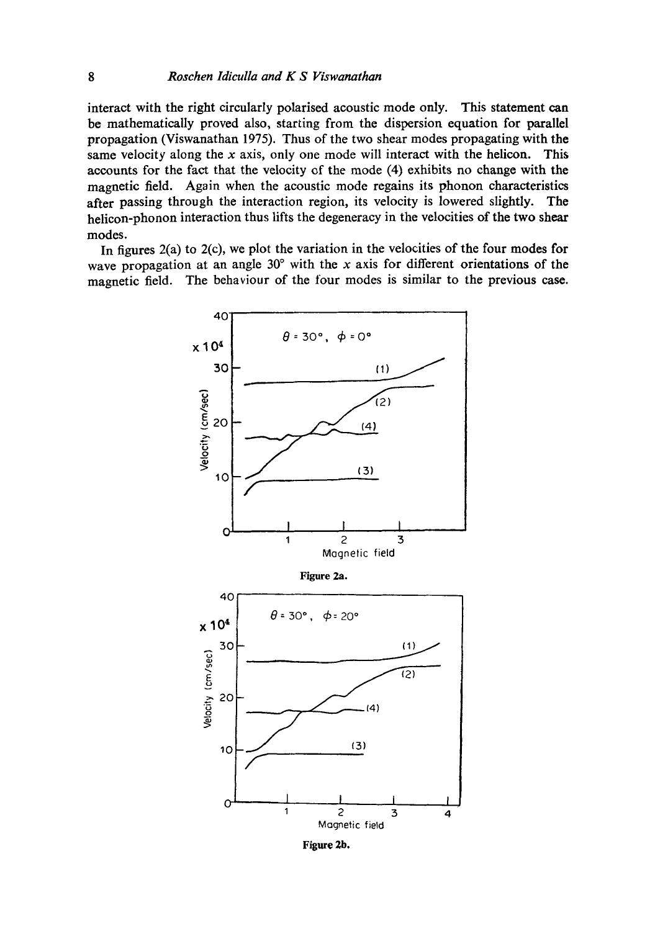interact with the right circularly polarised acoustic mode only. This statement can be mathematically proved also, starting from the dispersion equation for parallel propagation (Viswanathan 1975). Thus of the two shear modes propagating with the same velocity along the x axis, only one mode will interact with the helicon. This accounts for the fact that the velocity of the mode (4) exhibits no change with the magnetic field. Again when the acoustic mode regains its phonon characteristics after passing through the interaction region, its velocity is lowered slightly. The helicon-phonon interaction thus lifts the degeneracy in the velocities of the two shear modes.

In figures 2(a) to 2(c), we plot the variation in the velocities of the four modes for wave propagation at an angle  $30^{\circ}$  with the x axis for different orientations of the magnetic field. The behaviour of the four modes is similar to the previous case.



Figure 2b.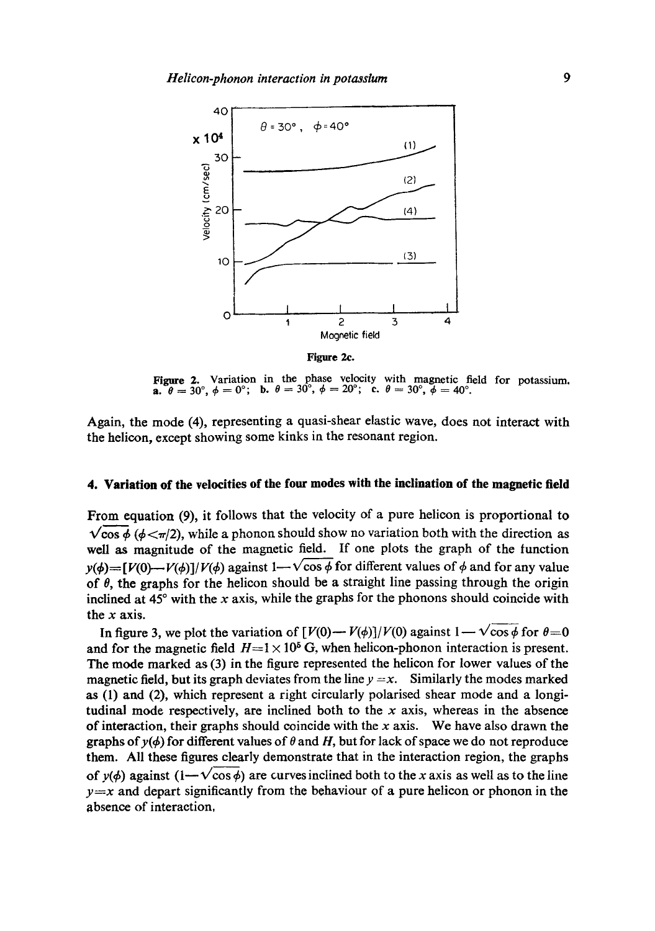

**Figure** 2c.

Figure 2. Variation in the phase velocity with magnetic field for potassium.<br>a.  $\theta = 30^{\circ}$ ,  $\phi = 0^{\circ}$ ; b.  $\theta = 30^{\circ}$ ,  $\phi = 20^{\circ}$ ; c.  $\theta = 30^{\circ}$ ,  $\phi = 40^{\circ}$ .

Again, the mode (4), representing a quasi-shear elastic wave, does not interact with the helicon, except showing some kinks in the resonant region.

### **4. Variation of the velocities of the four modes with the inclination of the magnetic field**

From equation (9), it follows that the velocity of a pure helicon is proportional to  $\sqrt{\cos \phi}$  ( $\phi \le \pi/2$ ), while a phonon should show no variation both with the direction as well as magnitude of the magnetic field. If one plots the graph of the tunction  $y(\phi) = [V(0)-V(\phi)]/V(\phi)$  against 1- $\sqrt{\cos \phi}$  for different values of  $\phi$  and for any value of  $\theta$ , the graphs for the helicon should be a straight line passing through the origin inclined at  $45^\circ$  with the x axis, while the graphs for the phonons should coincide with the  $x$  axis.

In figure 3, we plot the variation of  $[V(0)-V(\phi)]/V(0)$  against  $1 - \sqrt{\cos \phi}$  for  $\theta = 0$ . and for the magnetic field  $H=1 \times 10^5$  G, when helicon-phonon interaction is present. The mode marked as (3) in the figure represented the helicon for lower values of the magnetic field, but its graph deviates from the line  $y = x$ . Similarly the modes marked as (1) and (2), which represent a right circularly polarised shear mode and a longitudinal mode respectively, are inclined both to the  $x$  axis, whereas in the absence of interaction, their graphs should coincide with the  $x$  axis. We have also drawn the graphs of  $y(\phi)$  for different values of  $\theta$  and H, but for lack of space we do not reproduce them. All these figures dearly demonstrate that in the interaction region, the graphs of  $v(\phi)$  against  $(1-v\cos\phi)$  are curves inclined both to the x axis as well as to the line  $y=x$  and depart significantly from the behaviour of a pure helicon or phonon in the absence of interaetion,